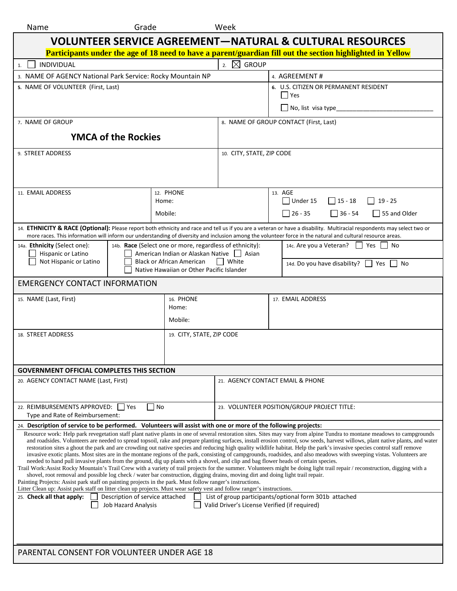| Name                                                                                                                                                                                                                                                                                                                                                                                                                                                                                                                                                                                                                                                                                                                                                                                                                                                                                                                                                                                                                                                                                                                                                                                                                                                                                                                                                                                                                 | Grade                                                                                                                                            |                                                          | Week                                        |                                                   |  |  |  |
|----------------------------------------------------------------------------------------------------------------------------------------------------------------------------------------------------------------------------------------------------------------------------------------------------------------------------------------------------------------------------------------------------------------------------------------------------------------------------------------------------------------------------------------------------------------------------------------------------------------------------------------------------------------------------------------------------------------------------------------------------------------------------------------------------------------------------------------------------------------------------------------------------------------------------------------------------------------------------------------------------------------------------------------------------------------------------------------------------------------------------------------------------------------------------------------------------------------------------------------------------------------------------------------------------------------------------------------------------------------------------------------------------------------------|--------------------------------------------------------------------------------------------------------------------------------------------------|----------------------------------------------------------|---------------------------------------------|---------------------------------------------------|--|--|--|
| <b>VOLUNTEER SERVICE AGREEMENT-NATURAL &amp; CULTURAL RESOURCES</b>                                                                                                                                                                                                                                                                                                                                                                                                                                                                                                                                                                                                                                                                                                                                                                                                                                                                                                                                                                                                                                                                                                                                                                                                                                                                                                                                                  |                                                                                                                                                  |                                                          |                                             |                                                   |  |  |  |
| Participants under the age of 18 need to have a parent/guardian fill out the section highlighted in Yellow                                                                                                                                                                                                                                                                                                                                                                                                                                                                                                                                                                                                                                                                                                                                                                                                                                                                                                                                                                                                                                                                                                                                                                                                                                                                                                           |                                                                                                                                                  |                                                          |                                             |                                                   |  |  |  |
| <b>INDIVIDUAL</b><br>1.                                                                                                                                                                                                                                                                                                                                                                                                                                                                                                                                                                                                                                                                                                                                                                                                                                                                                                                                                                                                                                                                                                                                                                                                                                                                                                                                                                                              |                                                                                                                                                  |                                                          | $\boxtimes$<br><b>GROUP</b><br>2.           |                                                   |  |  |  |
| 3. NAME OF AGENCY National Park Service: Rocky Mountain NP                                                                                                                                                                                                                                                                                                                                                                                                                                                                                                                                                                                                                                                                                                                                                                                                                                                                                                                                                                                                                                                                                                                                                                                                                                                                                                                                                           |                                                                                                                                                  |                                                          |                                             | 4. AGREEMENT#                                     |  |  |  |
| 5. NAME OF VOLUNTEER (First, Last)                                                                                                                                                                                                                                                                                                                                                                                                                                                                                                                                                                                                                                                                                                                                                                                                                                                                                                                                                                                                                                                                                                                                                                                                                                                                                                                                                                                   |                                                                                                                                                  |                                                          |                                             | 6. U.S. CITIZEN OR PERMANENT RESIDENT<br>  Yes    |  |  |  |
|                                                                                                                                                                                                                                                                                                                                                                                                                                                                                                                                                                                                                                                                                                                                                                                                                                                                                                                                                                                                                                                                                                                                                                                                                                                                                                                                                                                                                      |                                                                                                                                                  |                                                          |                                             | $\Box$ No, list visa type                         |  |  |  |
| 7. NAME OF GROUP                                                                                                                                                                                                                                                                                                                                                                                                                                                                                                                                                                                                                                                                                                                                                                                                                                                                                                                                                                                                                                                                                                                                                                                                                                                                                                                                                                                                     |                                                                                                                                                  |                                                          |                                             | 8. NAME OF GROUP CONTACT (First, Last)            |  |  |  |
|                                                                                                                                                                                                                                                                                                                                                                                                                                                                                                                                                                                                                                                                                                                                                                                                                                                                                                                                                                                                                                                                                                                                                                                                                                                                                                                                                                                                                      | <b>YMCA of the Rockies</b>                                                                                                                       |                                                          |                                             |                                                   |  |  |  |
| 9. STREET ADDRESS                                                                                                                                                                                                                                                                                                                                                                                                                                                                                                                                                                                                                                                                                                                                                                                                                                                                                                                                                                                                                                                                                                                                                                                                                                                                                                                                                                                                    |                                                                                                                                                  | 10. CITY, STATE, ZIP CODE                                |                                             |                                                   |  |  |  |
|                                                                                                                                                                                                                                                                                                                                                                                                                                                                                                                                                                                                                                                                                                                                                                                                                                                                                                                                                                                                                                                                                                                                                                                                                                                                                                                                                                                                                      |                                                                                                                                                  |                                                          |                                             |                                                   |  |  |  |
| 11. EMAIL ADDRESS                                                                                                                                                                                                                                                                                                                                                                                                                                                                                                                                                                                                                                                                                                                                                                                                                                                                                                                                                                                                                                                                                                                                                                                                                                                                                                                                                                                                    |                                                                                                                                                  | 12. PHONE<br>Home:                                       |                                             | 13. AGE<br>Under 15<br>$ $   15 - 18<br>$19 - 25$ |  |  |  |
|                                                                                                                                                                                                                                                                                                                                                                                                                                                                                                                                                                                                                                                                                                                                                                                                                                                                                                                                                                                                                                                                                                                                                                                                                                                                                                                                                                                                                      |                                                                                                                                                  | Mobile:                                                  |                                             | $26 - 35$<br>$ 36 - 54$<br>55 and Older           |  |  |  |
| 14. ETHNICITY & RACE (Optional): Please report both ethnicity and race and tell us if you are a veteran or have a disability. Multiracial respondents may select two or<br>more races. This information will inform our understanding of diversity and inclusion among the volunteer force in the natural and cultural resource areas.                                                                                                                                                                                                                                                                                                                                                                                                                                                                                                                                                                                                                                                                                                                                                                                                                                                                                                                                                                                                                                                                               |                                                                                                                                                  |                                                          |                                             |                                                   |  |  |  |
| 14a. Ethnicity (Select one):                                                                                                                                                                                                                                                                                                                                                                                                                                                                                                                                                                                                                                                                                                                                                                                                                                                                                                                                                                                                                                                                                                                                                                                                                                                                                                                                                                                         |                                                                                                                                                  | 14b. Race (Select one or more, regardless of ethnicity): |                                             | 14c. Are you a Veteran? Yes No                    |  |  |  |
| Not Hispanic or Latino                                                                                                                                                                                                                                                                                                                                                                                                                                                                                                                                                                                                                                                                                                                                                                                                                                                                                                                                                                                                                                                                                                                                                                                                                                                                                                                                                                                               | Hispanic or Latino<br>American Indian or Alaskan Native   Asian<br><b>Black or African American</b><br>Native Hawaiian or Other Pacific Islander |                                                          | <b>White</b>                                | 14d. Do you have disability? T Yes T No           |  |  |  |
| EMERGENCY CONTACT INFORMATION                                                                                                                                                                                                                                                                                                                                                                                                                                                                                                                                                                                                                                                                                                                                                                                                                                                                                                                                                                                                                                                                                                                                                                                                                                                                                                                                                                                        |                                                                                                                                                  |                                                          |                                             |                                                   |  |  |  |
| 15. NAME (Last, First)                                                                                                                                                                                                                                                                                                                                                                                                                                                                                                                                                                                                                                                                                                                                                                                                                                                                                                                                                                                                                                                                                                                                                                                                                                                                                                                                                                                               |                                                                                                                                                  | 16. PHONE<br>Home:                                       |                                             | 17. EMAIL ADDRESS                                 |  |  |  |
|                                                                                                                                                                                                                                                                                                                                                                                                                                                                                                                                                                                                                                                                                                                                                                                                                                                                                                                                                                                                                                                                                                                                                                                                                                                                                                                                                                                                                      |                                                                                                                                                  | Mobile:                                                  |                                             |                                                   |  |  |  |
| 18. STREET ADDRESS<br>19. CITY, STATE, ZIP CODE                                                                                                                                                                                                                                                                                                                                                                                                                                                                                                                                                                                                                                                                                                                                                                                                                                                                                                                                                                                                                                                                                                                                                                                                                                                                                                                                                                      |                                                                                                                                                  |                                                          |                                             |                                                   |  |  |  |
| <b>GOVERNMENT OFFICIAL COMPLETES THIS SECTION</b>                                                                                                                                                                                                                                                                                                                                                                                                                                                                                                                                                                                                                                                                                                                                                                                                                                                                                                                                                                                                                                                                                                                                                                                                                                                                                                                                                                    |                                                                                                                                                  |                                                          |                                             |                                                   |  |  |  |
| 20. AGENCY CONTACT NAME (Last, First)                                                                                                                                                                                                                                                                                                                                                                                                                                                                                                                                                                                                                                                                                                                                                                                                                                                                                                                                                                                                                                                                                                                                                                                                                                                                                                                                                                                |                                                                                                                                                  |                                                          |                                             | 21. AGENCY CONTACT EMAIL & PHONE                  |  |  |  |
| 22. REIMBURSEMENTS APPROVED: Ves<br><b>No</b>                                                                                                                                                                                                                                                                                                                                                                                                                                                                                                                                                                                                                                                                                                                                                                                                                                                                                                                                                                                                                                                                                                                                                                                                                                                                                                                                                                        |                                                                                                                                                  |                                                          | 23. VOLUNTEER POSITION/GROUP PROJECT TITLE: |                                                   |  |  |  |
| Type and Rate of Reimbursement:<br>24. Description of service to be performed. Volunteers will assist with one or more of the following projects:                                                                                                                                                                                                                                                                                                                                                                                                                                                                                                                                                                                                                                                                                                                                                                                                                                                                                                                                                                                                                                                                                                                                                                                                                                                                    |                                                                                                                                                  |                                                          |                                             |                                                   |  |  |  |
| Resource work: Help park revegetation staff plant native plants in one of several restoration sites. Sites may vary from alpine Tundra to montane meadows to campgrounds<br>and roadsides. Volunteers are needed to spread topsoil, rake and prepare planting surfaces, install erosion control, sow seeds, harvest willows, plant native plants, and water<br>restoration sites a ghout the park and are crowding out native species and reducing high quality wildlife habitat. Help the park's invasive species control staff remove<br>invasive exotic plants. Most sites are in the montane regions of the park, consisting of campgrounds, roadsides, and also meadows with sweeping vistas. Volunteers are<br>needed to hand pull invasive plants from the ground, dig up plants with a shovel, and clip and bag flower heads of certain species.<br>Trail Work: Assist Rocky Mountain's Trail Crew with a variety of trail projects for the summer. Volunteers might be doing light trail repair / reconstruction, digging with a<br>shovel, root removal and possible log check / water bar construction, digging drains, moving dirt and doing light trail repair.<br>Painting Projects: Assist park staff on painting projects in the park. Must follow ranger's instructions.<br>Litter Clean up: Assist park staff on litter clean up projects. Must wear safety vest and follow ranger's instructions. |                                                                                                                                                  |                                                          |                                             |                                                   |  |  |  |
| List of group participants/optional form 301b attached<br>25. Check all that apply:<br>Description of service attached<br>$\mathbf{1}$<br>l a l<br>Job Hazard Analysis<br>Valid Driver's License Verified (if required)                                                                                                                                                                                                                                                                                                                                                                                                                                                                                                                                                                                                                                                                                                                                                                                                                                                                                                                                                                                                                                                                                                                                                                                              |                                                                                                                                                  |                                                          |                                             |                                                   |  |  |  |
| PARENTAL CONSENT FOR VOLUNTEER UNDER AGE 18                                                                                                                                                                                                                                                                                                                                                                                                                                                                                                                                                                                                                                                                                                                                                                                                                                                                                                                                                                                                                                                                                                                                                                                                                                                                                                                                                                          |                                                                                                                                                  |                                                          |                                             |                                                   |  |  |  |
|                                                                                                                                                                                                                                                                                                                                                                                                                                                                                                                                                                                                                                                                                                                                                                                                                                                                                                                                                                                                                                                                                                                                                                                                                                                                                                                                                                                                                      |                                                                                                                                                  |                                                          |                                             |                                                   |  |  |  |